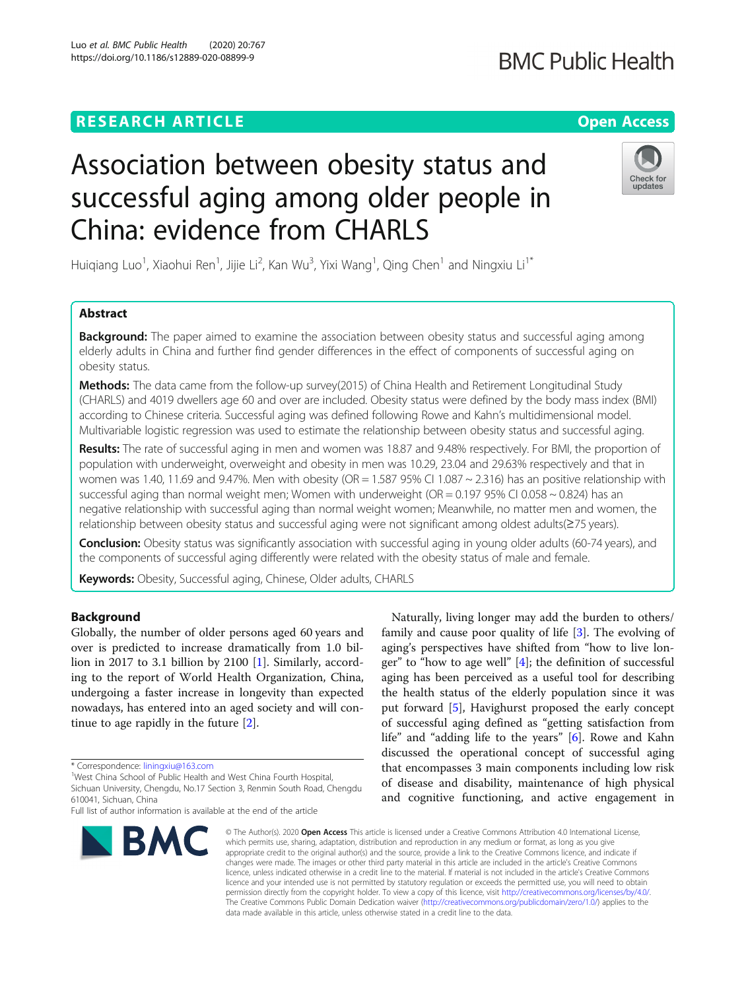## **RESEARCH ARTICLE Example 2014 12:30 The Contract of Contract ACCESS**

# Association between obesity status and successful aging among older people in China: evidence from CHARLS

Huiqiang Luo<sup>1</sup>, Xiaohui Ren<sup>1</sup>, Jijie Li<sup>2</sup>, Kan Wu<sup>3</sup>, Yixi Wang<sup>1</sup>, Qing Chen<sup>1</sup> and Ningxiu Li<sup>1\*</sup>

## Abstract

**Background:** The paper aimed to examine the association between obesity status and successful aging among elderly adults in China and further find gender differences in the effect of components of successful aging on obesity status.

Methods: The data came from the follow-up survey(2015) of China Health and Retirement Longitudinal Study (CHARLS) and 4019 dwellers age 60 and over are included. Obesity status were defined by the body mass index (BMI) according to Chinese criteria. Successful aging was defined following Rowe and Kahn's multidimensional model. Multivariable logistic regression was used to estimate the relationship between obesity status and successful aging.

Results: The rate of successful aging in men and women was 18.87 and 9.48% respectively. For BMI, the proportion of population with underweight, overweight and obesity in men was 10.29, 23.04 and 29.63% respectively and that in women was 1.40, 11.69 and 9.47%. Men with obesity (OR = 1.587 95% CI 1.087 ~ 2.316) has an positive relationship with successful aging than normal weight men; Women with underweight ( $OR = 0.19795\%$  CI 0.058 ~ 0.824) has an negative relationship with successful aging than normal weight women; Meanwhile, no matter men and women, the relationship between obesity status and successful aging were not significant among oldest adults(≥75 years).

**Conclusion:** Obesity status was significantly association with successful aging in young older adults (60-74 years), and the components of successful aging differently were related with the obesity status of male and female.

Keywords: Obesity, Successful aging, Chinese, Older adults, CHARLS

## Background

Globally, the number of older persons aged 60 years and over is predicted to increase dramatically from 1.0 billion in 2017 to 3.1 billion by 2100 [[1\]](#page-8-0). Similarly, according to the report of World Health Organization, China, undergoing a faster increase in longevity than expected nowadays, has entered into an aged society and will continue to age rapidly in the future [[2\]](#page-8-0).

\* Correspondence: [liningxiu@163.com](mailto:liningxiu@163.com)<br><sup>1</sup>West China School of Public Health and West China Fourth Hospital,

Sichuan University, Chengdu, No.17 Section 3, Renmin South Road, Chengdu 610041, Sichuan, China

#### © The Author(s), 2020 **Open Access** This article is licensed under a Creative Commons Attribution 4.0 International License, which permits use, sharing, adaptation, distribution and reproduction in any medium or format, as long as you give appropriate credit to the original author(s) and the source, provide a link to the Creative Commons licence, and indicate if changes were made. The images or other third party material in this article are included in the article's Creative Commons licence, unless indicated otherwise in a credit line to the material. If material is not included in the article's Creative Commons licence and your intended use is not permitted by statutory regulation or exceeds the permitted use, you will need to obtain permission directly from the copyright holder. To view a copy of this licence, visit [http://creativecommons.org/licenses/by/4.0/.](http://creativecommons.org/licenses/by/4.0/) The Creative Commons Public Domain Dedication waiver [\(http://creativecommons.org/publicdomain/zero/1.0/](http://creativecommons.org/publicdomain/zero/1.0/)) applies to the data made available in this article, unless otherwise stated in a credit line to the data.

Naturally, living longer may add the burden to others/ family and cause poor quality of life [\[3](#page-8-0)]. The evolving of aging's perspectives have shifted from "how to live longer" to "how to age well" [[4\]](#page-8-0); the definition of successful aging has been perceived as a useful tool for describing the health status of the elderly population since it was put forward [\[5](#page-8-0)], Havighurst proposed the early concept of successful aging defined as "getting satisfaction from life" and "adding life to the years" [[6\]](#page-8-0). Rowe and Kahn discussed the operational concept of successful aging that encompasses 3 main components including low risk of disease and disability, maintenance of high physical and cognitive functioning, and active engagement in

**BMC** 







Full list of author information is available at the end of the article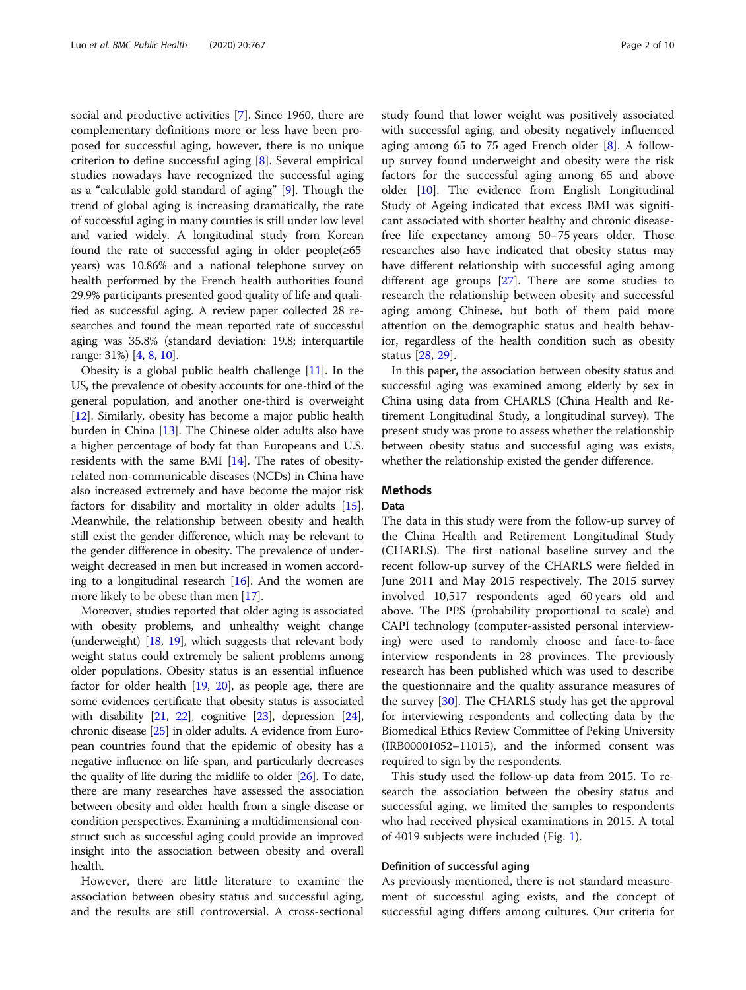social and productive activities [\[7\]](#page-8-0). Since 1960, there are complementary definitions more or less have been proposed for successful aging, however, there is no unique criterion to define successful aging [[8\]](#page-8-0). Several empirical studies nowadays have recognized the successful aging as a "calculable gold standard of aging" [[9\]](#page-8-0). Though the trend of global aging is increasing dramatically, the rate of successful aging in many counties is still under low level and varied widely. A longitudinal study from Korean found the rate of successful aging in older people $(\geq 65)$ years) was 10.86% and a national telephone survey on health performed by the French health authorities found 29.9% participants presented good quality of life and qualified as successful aging. A review paper collected 28 researches and found the mean reported rate of successful aging was 35.8% (standard deviation: 19.8; interquartile range: 31%) [[4,](#page-8-0) [8](#page-8-0), [10](#page-8-0)].

Obesity is a global public health challenge [[11](#page-8-0)]. In the US, the prevalence of obesity accounts for one-third of the general population, and another one-third is overweight [[12](#page-8-0)]. Similarly, obesity has become a major public health burden in China [[13\]](#page-8-0). The Chinese older adults also have a higher percentage of body fat than Europeans and U.S. residents with the same BMI [[14](#page-8-0)]. The rates of obesityrelated non-communicable diseases (NCDs) in China have also increased extremely and have become the major risk factors for disability and mortality in older adults [[15](#page-8-0)]. Meanwhile, the relationship between obesity and health still exist the gender difference, which may be relevant to the gender difference in obesity. The prevalence of underweight decreased in men but increased in women according to a longitudinal research  $[16]$ . And the women are more likely to be obese than men [[17](#page-9-0)].

Moreover, studies reported that older aging is associated with obesity problems, and unhealthy weight change (underweight) [\[18,](#page-9-0) [19\]](#page-9-0), which suggests that relevant body weight status could extremely be salient problems among older populations. Obesity status is an essential influence factor for older health [\[19,](#page-9-0) [20\]](#page-9-0), as people age, there are some evidences certificate that obesity status is associated with disability [\[21,](#page-9-0) [22\]](#page-9-0), cognitive [[23](#page-9-0)], depression [\[24](#page-9-0)], chronic disease [[25](#page-9-0)] in older adults. A evidence from European countries found that the epidemic of obesity has a negative influence on life span, and particularly decreases the quality of life during the midlife to older [[26](#page-9-0)]. To date, there are many researches have assessed the association between obesity and older health from a single disease or condition perspectives. Examining a multidimensional construct such as successful aging could provide an improved insight into the association between obesity and overall health.

However, there are little literature to examine the association between obesity status and successful aging, and the results are still controversial. A cross-sectional study found that lower weight was positively associated with successful aging, and obesity negatively influenced aging among 65 to 75 aged French older [[8\]](#page-8-0). A followup survey found underweight and obesity were the risk factors for the successful aging among 65 and above older [[10\]](#page-8-0). The evidence from English Longitudinal Study of Ageing indicated that excess BMI was significant associated with shorter healthy and chronic diseasefree life expectancy among 50–75 years older. Those researches also have indicated that obesity status may have different relationship with successful aging among different age groups [[27](#page-9-0)]. There are some studies to research the relationship between obesity and successful aging among Chinese, but both of them paid more attention on the demographic status and health behavior, regardless of the health condition such as obesity status [\[28](#page-9-0), [29](#page-9-0)].

In this paper, the association between obesity status and successful aging was examined among elderly by sex in China using data from CHARLS (China Health and Retirement Longitudinal Study, a longitudinal survey). The present study was prone to assess whether the relationship between obesity status and successful aging was exists, whether the relationship existed the gender difference.

## **Methods**

## Data

The data in this study were from the follow-up survey of the China Health and Retirement Longitudinal Study (CHARLS). The first national baseline survey and the recent follow-up survey of the CHARLS were fielded in June 2011 and May 2015 respectively. The 2015 survey involved 10,517 respondents aged 60 years old and above. The PPS (probability proportional to scale) and CAPI technology (computer-assisted personal interviewing) were used to randomly choose and face-to-face interview respondents in 28 provinces. The previously research has been published which was used to describe the questionnaire and the quality assurance measures of the survey [[30\]](#page-9-0). The CHARLS study has get the approval for interviewing respondents and collecting data by the Biomedical Ethics Review Committee of Peking University (IRB00001052–11015), and the informed consent was required to sign by the respondents.

This study used the follow-up data from 2015. To research the association between the obesity status and successful aging, we limited the samples to respondents who had received physical examinations in 2015. A total of 4019 subjects were included (Fig. [1](#page-2-0)).

## Definition of successful aging

As previously mentioned, there is not standard measurement of successful aging exists, and the concept of successful aging differs among cultures. Our criteria for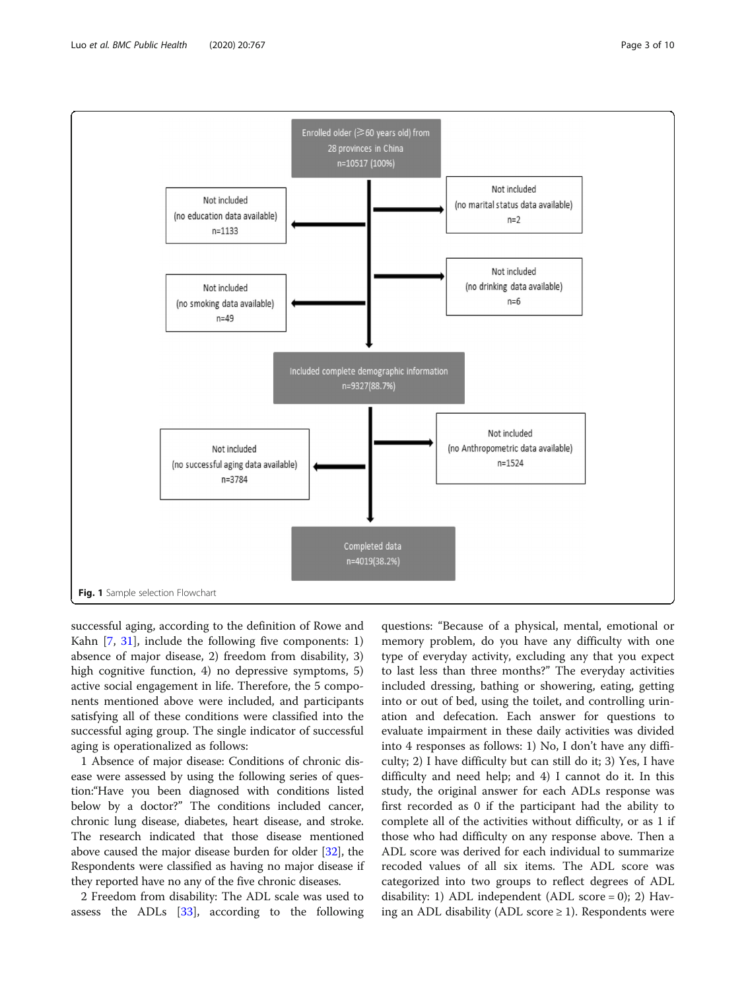<span id="page-2-0"></span>

successful aging, according to the definition of Rowe and Kahn [\[7](#page-8-0), [31](#page-9-0)], include the following five components: 1) absence of major disease, 2) freedom from disability, 3) high cognitive function, 4) no depressive symptoms, 5) active social engagement in life. Therefore, the 5 components mentioned above were included, and participants satisfying all of these conditions were classified into the successful aging group. The single indicator of successful aging is operationalized as follows:

1 Absence of major disease: Conditions of chronic disease were assessed by using the following series of question:"Have you been diagnosed with conditions listed below by a doctor?" The conditions included cancer, chronic lung disease, diabetes, heart disease, and stroke. The research indicated that those disease mentioned above caused the major disease burden for older [[32\]](#page-9-0), the Respondents were classified as having no major disease if they reported have no any of the five chronic diseases.

2 Freedom from disability: The ADL scale was used to assess the ADLs [\[33](#page-9-0)], according to the following

questions: "Because of a physical, mental, emotional or memory problem, do you have any difficulty with one type of everyday activity, excluding any that you expect to last less than three months?" The everyday activities included dressing, bathing or showering, eating, getting into or out of bed, using the toilet, and controlling urination and defecation. Each answer for questions to evaluate impairment in these daily activities was divided into 4 responses as follows: 1) No, I don't have any difficulty; 2) I have difficulty but can still do it; 3) Yes, I have difficulty and need help; and 4) I cannot do it. In this study, the original answer for each ADLs response was first recorded as 0 if the participant had the ability to complete all of the activities without difficulty, or as 1 if those who had difficulty on any response above. Then a ADL score was derived for each individual to summarize recoded values of all six items. The ADL score was categorized into two groups to reflect degrees of ADL disability: 1) ADL independent (ADL score = 0); 2) Having an ADL disability (ADL score  $\geq$  1). Respondents were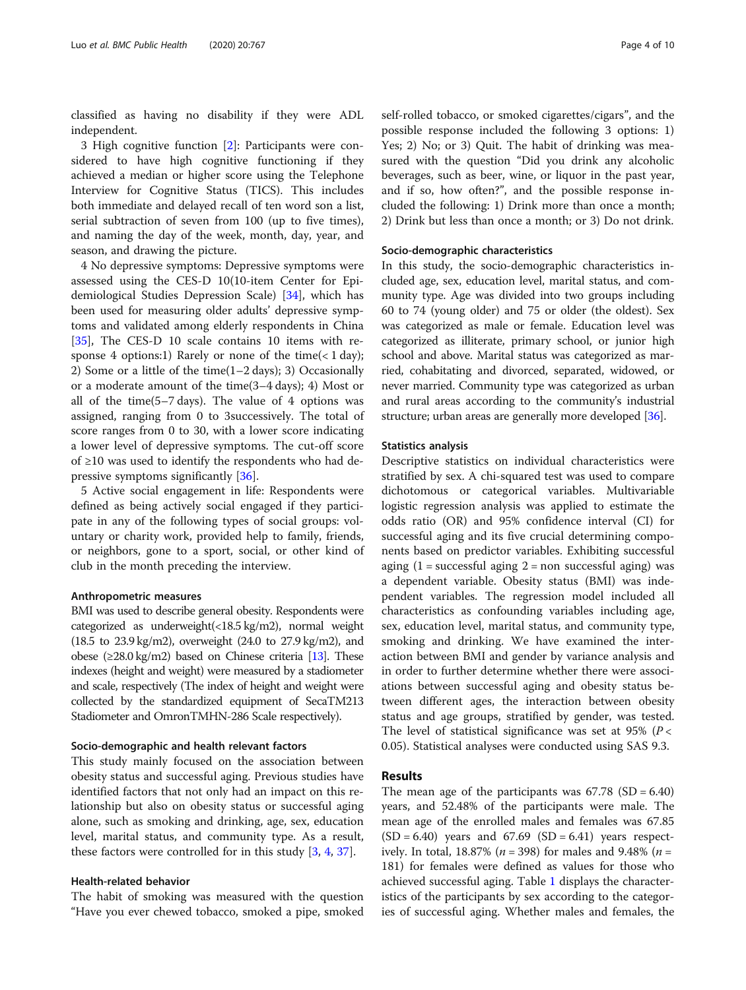classified as having no disability if they were ADL independent.

3 High cognitive function [\[2](#page-8-0)]: Participants were considered to have high cognitive functioning if they achieved a median or higher score using the Telephone Interview for Cognitive Status (TICS). This includes both immediate and delayed recall of ten word son a list, serial subtraction of seven from 100 (up to five times), and naming the day of the week, month, day, year, and season, and drawing the picture.

4 No depressive symptoms: Depressive symptoms were assessed using the CES-D 10(10-item Center for Epidemiological Studies Depression Scale) [\[34](#page-9-0)], which has been used for measuring older adults' depressive symptoms and validated among elderly respondents in China [[35\]](#page-9-0), The CES-D 10 scale contains 10 items with response 4 options:1) Rarely or none of the time( $< 1$  day); 2) Some or a little of the time(1–2 days); 3) Occasionally or a moderate amount of the time(3–4 days); 4) Most or all of the time(5–7 days). The value of 4 options was assigned, ranging from 0 to 3successively. The total of score ranges from 0 to 30, with a lower score indicating a lower level of depressive symptoms. The cut-off score of ≥10 was used to identify the respondents who had depressive symptoms significantly [[36](#page-9-0)].

5 Active social engagement in life: Respondents were defined as being actively social engaged if they participate in any of the following types of social groups: voluntary or charity work, provided help to family, friends, or neighbors, gone to a sport, social, or other kind of club in the month preceding the interview.

#### Anthropometric measures

BMI was used to describe general obesity. Respondents were categorized as underweight(<18.5 kg/m2), normal weight (18.5 to 23.9 kg/m2), overweight (24.0 to 27.9 kg/m2), and obese (≥28.0 kg/m2) based on Chinese criteria [\[13](#page-8-0)]. These indexes (height and weight) were measured by a stadiometer and scale, respectively (The index of height and weight were collected by the standardized equipment of SecaTM213 Stadiometer and OmronTMHN-286 Scale respectively).

#### Socio-demographic and health relevant factors

This study mainly focused on the association between obesity status and successful aging. Previous studies have identified factors that not only had an impact on this relationship but also on obesity status or successful aging alone, such as smoking and drinking, age, sex, education level, marital status, and community type. As a result, these factors were controlled for in this study [\[3](#page-8-0), [4](#page-8-0), [37\]](#page-9-0).

## Health-related behavior

The habit of smoking was measured with the question "Have you ever chewed tobacco, smoked a pipe, smoked self-rolled tobacco, or smoked cigarettes/cigars", and the possible response included the following 3 options: 1) Yes; 2) No; or 3) Quit. The habit of drinking was measured with the question "Did you drink any alcoholic beverages, such as beer, wine, or liquor in the past year, and if so, how often?", and the possible response included the following: 1) Drink more than once a month; 2) Drink but less than once a month; or 3) Do not drink.

## Socio-demographic characteristics

In this study, the socio-demographic characteristics included age, sex, education level, marital status, and community type. Age was divided into two groups including 60 to 74 (young older) and 75 or older (the oldest). Sex was categorized as male or female. Education level was categorized as illiterate, primary school, or junior high school and above. Marital status was categorized as married, cohabitating and divorced, separated, widowed, or never married. Community type was categorized as urban and rural areas according to the community's industrial structure; urban areas are generally more developed [\[36\]](#page-9-0).

### Statistics analysis

Descriptive statistics on individual characteristics were stratified by sex. A chi-squared test was used to compare dichotomous or categorical variables. Multivariable logistic regression analysis was applied to estimate the odds ratio (OR) and 95% confidence interval (CI) for successful aging and its five crucial determining components based on predictor variables. Exhibiting successful aging  $(1 = \text{successful aging } 2 = \text{non successful again})$  was a dependent variable. Obesity status (BMI) was independent variables. The regression model included all characteristics as confounding variables including age, sex, education level, marital status, and community type, smoking and drinking. We have examined the interaction between BMI and gender by variance analysis and in order to further determine whether there were associations between successful aging and obesity status between different ages, the interaction between obesity status and age groups, stratified by gender, was tested. The level of statistical significance was set at 95% ( $P <$ 0.05). Statistical analyses were conducted using SAS 9.3.

## Results

The mean age of the participants was  $67.78$  (SD =  $6.40$ ) years, and 52.48% of the participants were male. The mean age of the enrolled males and females was 67.85  $(SD = 6.40)$  years and  $67.69$   $(SD = 6.41)$  years respectively. In total, 18.87% ( $n = 398$ ) for males and 9.48% ( $n =$ 181) for females were defined as values for those who achieved successful aging. Table [1](#page-4-0) displays the characteristics of the participants by sex according to the categories of successful aging. Whether males and females, the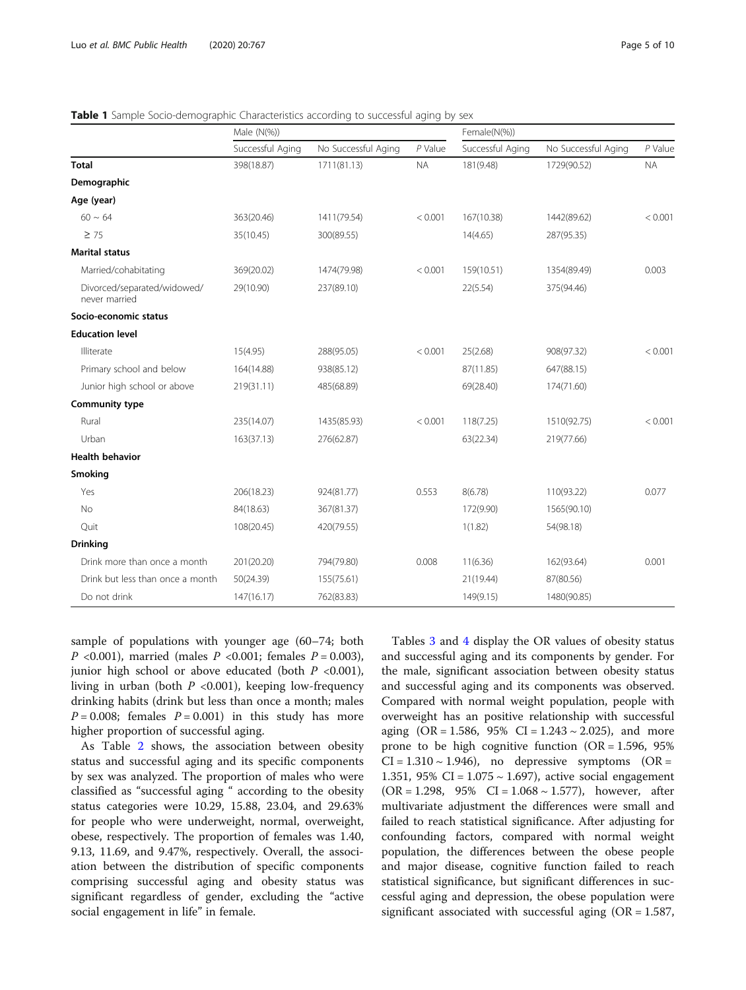|                                              | Male (N(%))      |                     |           | Female(N(%))     |                     |           |
|----------------------------------------------|------------------|---------------------|-----------|------------------|---------------------|-----------|
|                                              | Successful Aging | No Successful Aging | $P$ Value | Successful Aging | No Successful Aging | $P$ Value |
| <b>Total</b>                                 | 398(18.87)       | 1711(81.13)         | <b>NA</b> | 181(9.48)        | 1729(90.52)         | <b>NA</b> |
| Demographic                                  |                  |                     |           |                  |                     |           |
| Age (year)                                   |                  |                     |           |                  |                     |           |
| $60 \sim 64$                                 | 363(20.46)       | 1411(79.54)         | < 0.001   | 167(10.38)       | 1442(89.62)         | < 0.001   |
| $\geq$ 75                                    | 35(10.45)        | 300(89.55)          |           | 14(4.65)         | 287(95.35)          |           |
| <b>Marital status</b>                        |                  |                     |           |                  |                     |           |
| Married/cohabitating                         | 369(20.02)       | 1474(79.98)         | < 0.001   | 159(10.51)       | 1354(89.49)         | 0.003     |
| Divorced/separated/widowed/<br>never married | 29(10.90)        | 237(89.10)          |           | 22(5.54)         | 375(94.46)          |           |
| Socio-economic status                        |                  |                     |           |                  |                     |           |
| <b>Education level</b>                       |                  |                     |           |                  |                     |           |
| Illiterate                                   | 15(4.95)         | 288(95.05)          | < 0.001   | 25(2.68)         | 908(97.32)          | < 0.001   |
| Primary school and below                     | 164(14.88)       | 938(85.12)          |           | 87(11.85)        | 647(88.15)          |           |
| Junior high school or above                  | 219(31.11)       | 485(68.89)          |           | 69(28.40)        | 174(71.60)          |           |
| <b>Community type</b>                        |                  |                     |           |                  |                     |           |
| Rural                                        | 235(14.07)       | 1435(85.93)         | < 0.001   | 118(7.25)        | 1510(92.75)         | < 0.001   |
| Urban                                        | 163(37.13)       | 276(62.87)          |           | 63(22.34)        | 219(77.66)          |           |
| <b>Health behavior</b>                       |                  |                     |           |                  |                     |           |
| Smoking                                      |                  |                     |           |                  |                     |           |
| Yes                                          | 206(18.23)       | 924(81.77)          | 0.553     | 8(6.78)          | 110(93.22)          | 0.077     |
| No                                           | 84(18.63)        | 367(81.37)          |           | 172(9.90)        | 1565(90.10)         |           |
| Quit                                         | 108(20.45)       | 420(79.55)          |           | 1(1.82)          | 54(98.18)           |           |
| <b>Drinking</b>                              |                  |                     |           |                  |                     |           |
| Drink more than once a month                 | 201(20.20)       | 794(79.80)          | 0.008     | 11(6.36)         | 162(93.64)          | 0.001     |
| Drink but less than once a month             | 50(24.39)        | 155(75.61)          |           | 21(19.44)        | 87(80.56)           |           |
| Do not drink                                 | 147(16.17)       | 762(83.83)          |           | 149(9.15)        | 1480(90.85)         |           |

<span id="page-4-0"></span>**Table 1** Sample Socio-demographic Characteristics according to successful aging by sex

sample of populations with younger age (60–74; both *P* <0.001), married (males *P* <0.001; females *P* = 0.003), junior high school or above educated (both  $P < 0.001$ ), living in urban (both  $P \le 0.001$ ), keeping low-frequency drinking habits (drink but less than once a month; males  $P = 0.008$ ; females  $P = 0.001$ ) in this study has more higher proportion of successful aging.

As Table [2](#page-5-0) shows, the association between obesity status and successful aging and its specific components by sex was analyzed. The proportion of males who were classified as "successful aging " according to the obesity status categories were 10.29, 15.88, 23.04, and 29.63% for people who were underweight, normal, overweight, obese, respectively. The proportion of females was 1.40, 9.13, 11.69, and 9.47%, respectively. Overall, the association between the distribution of specific components comprising successful aging and obesity status was significant regardless of gender, excluding the "active social engagement in life" in female.

Tables [3](#page-6-0) and [4](#page-7-0) display the OR values of obesity status and successful aging and its components by gender. For the male, significant association between obesity status and successful aging and its components was observed. Compared with normal weight population, people with overweight has an positive relationship with successful aging  $(OR = 1.586, 95\% \text{ CI} = 1.243 \sim 2.025)$ , and more prone to be high cognitive function  $(OR = 1.596, 95\%)$  $CI = 1.310 \sim 1.946$ , no depressive symptoms (OR = 1.351, 95% CI =  $1.075 \sim 1.697$ ), active social engagement  $(OR = 1.298, 95\% \text{ CI} = 1.068 \sim 1.577)$ , however, after multivariate adjustment the differences were small and failed to reach statistical significance. After adjusting for confounding factors, compared with normal weight population, the differences between the obese people and major disease, cognitive function failed to reach statistical significance, but significant differences in successful aging and depression, the obese population were significant associated with successful aging  $(OR = 1.587,$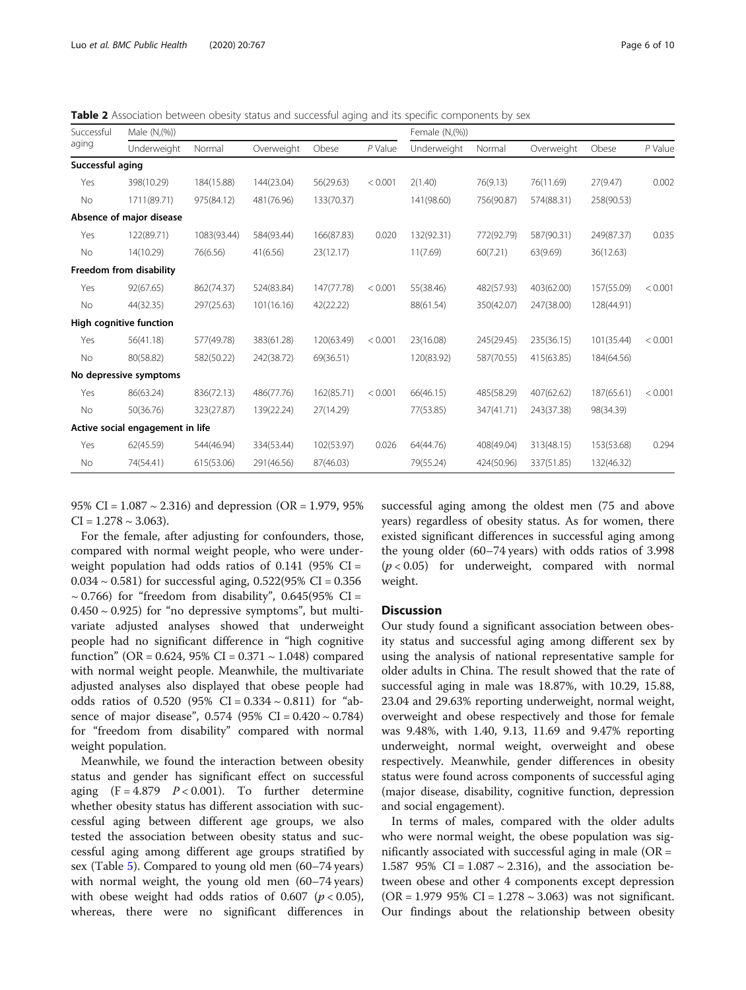<span id="page-5-0"></span>Table 2 Association between obesity status and successful aging and its specific components by sex

| Successful<br>aging | Male (N, (%))                    |             |            |            | Female (N,(%)) |             |            |            |            |           |
|---------------------|----------------------------------|-------------|------------|------------|----------------|-------------|------------|------------|------------|-----------|
|                     | Underweight                      | Normal      | Overweight | Obese      | $P$ Value      | Underweight | Normal     | Overweight | Obese      | $P$ Value |
| Successful aging    |                                  |             |            |            |                |             |            |            |            |           |
| Yes                 | 398(10.29)                       | 184(15.88)  | 144(23.04) | 56(29.63)  | < 0.001        | 2(1.40)     | 76(9.13)   | 76(11.69)  | 27(9.47)   | 0.002     |
| No                  | 1711(89.71)                      | 975(84.12)  | 481(76.96) | 133(70.37) |                | 141(98.60)  | 756(90.87) | 574(88.31) | 258(90.53) |           |
|                     | Absence of major disease         |             |            |            |                |             |            |            |            |           |
| Yes                 | 122(89.71)                       | 1083(93.44) | 584(93.44) | 166(87.83) | 0.020          | 132(92.31)  | 772(92.79) | 587(90.31) | 249(87.37) | 0.035     |
| No                  | 14(10.29)                        | 76(6.56)    | 41(6.56)   | 23(12.17)  |                | 11(7.69)    | 60(7.21)   | 63(9.69)   | 36(12.63)  |           |
|                     | Freedom from disability          |             |            |            |                |             |            |            |            |           |
| Yes                 | 92(67.65)                        | 862(74.37)  | 524(83.84) | 147(77.78) | < 0.001        | 55(38.46)   | 482(57.93) | 403(62.00) | 157(55.09) | < 0.001   |
| No                  | 44(32.35)                        | 297(25.63)  | 101(16.16) | 42(22.22)  |                | 88(61.54)   | 350(42.07) | 247(38.00) | 128(44.91) |           |
|                     | High cognitive function          |             |            |            |                |             |            |            |            |           |
| Yes                 | 56(41.18)                        | 577(49.78)  | 383(61.28) | 120(63.49) | < 0.001        | 23(16.08)   | 245(29.45) | 235(36.15) | 101(35.44) | < 0.001   |
| No                  | 80(58.82)                        | 582(50.22)  | 242(38.72) | 69(36.51)  |                | 120(83.92)  | 587(70.55) | 415(63.85) | 184(64.56) |           |
|                     | No depressive symptoms           |             |            |            |                |             |            |            |            |           |
| Yes                 | 86(63.24)                        | 836(72.13)  | 486(77.76) | 162(85.71) | < 0.001        | 66(46.15)   | 485(58.29) | 407(62.62) | 187(65.61) | < 0.001   |
| No                  | 50(36.76)                        | 323(27.87)  | 139(22.24) | 27(14.29)  |                | 77(53.85)   | 347(41.71) | 243(37.38) | 98(34.39)  |           |
|                     | Active social engagement in life |             |            |            |                |             |            |            |            |           |
| Yes                 | 62(45.59)                        | 544(46.94)  | 334(53.44) | 102(53.97) | 0.026          | 64(44.76)   | 408(49.04) | 313(48.15) | 153(53.68) | 0.294     |
| No                  | 74(54.41)                        | 615(53.06)  | 291(46.56) | 87(46.03)  |                | 79(55.24)   | 424(50.96) | 337(51.85) | 132(46.32) |           |

95% CI =  $1.087 \sim 2.316$ ) and depression (OR = 1.979, 95%  $CI = 1.278 \sim 3.063$ ).

For the female, after adjusting for confounders, those, compared with normal weight people, who were underweight population had odds ratios of  $0.141$  (95% CI =  $0.034 \sim 0.581$ ) for successful aging,  $0.522(95\% \text{ CI} = 0.356)$  $\sim$  0.766) for "freedom from disability", 0.645(95% CI =  $0.450 \sim 0.925$ ) for "no depressive symptoms", but multivariate adjusted analyses showed that underweight people had no significant difference in "high cognitive function" (OR = 0.624, 95% CI = 0.371  $\sim$  1.048) compared with normal weight people. Meanwhile, the multivariate adjusted analyses also displayed that obese people had odds ratios of  $0.520$  (95% CI =  $0.334 \sim 0.811$ ) for "absence of major disease",  $0.574$  (95% CI =  $0.420 \sim 0.784$ ) for "freedom from disability" compared with normal weight population.

Meanwhile, we found the interaction between obesity status and gender has significant effect on successful aging  $(F = 4.879 \quad P < 0.001)$ . To further determine whether obesity status has different association with successful aging between different age groups, we also tested the association between obesity status and successful aging among different age groups stratified by sex (Table [5\)](#page-7-0). Compared to young old men (60–74 years) with normal weight, the young old men (60–74 years) with obese weight had odds ratios of 0.607 ( $p < 0.05$ ), whereas, there were no significant differences in

successful aging among the oldest men (75 and above years) regardless of obesity status. As for women, there existed significant differences in successful aging among the young older (60–74 years) with odds ratios of 3.998  $(p < 0.05)$  for underweight, compared with normal weight.

#### **Discussion**

Our study found a significant association between obesity status and successful aging among different sex by using the analysis of national representative sample for older adults in China. The result showed that the rate of successful aging in male was 18.87%, with 10.29, 15.88, 23.04 and 29.63% reporting underweight, normal weight, overweight and obese respectively and those for female was 9.48%, with 1.40, 9.13, 11.69 and 9.47% reporting underweight, normal weight, overweight and obese respectively. Meanwhile, gender differences in obesity status were found across components of successful aging (major disease, disability, cognitive function, depression and social engagement).

In terms of males, compared with the older adults who were normal weight, the obese population was significantly associated with successful aging in male (OR = 1.587 95% CI =  $1.087 \sim 2.316$ ), and the association between obese and other 4 components except depression  $(OR = 1.979 95\% CI = 1.278 \sim 3.063)$  was not significant. Our findings about the relationship between obesity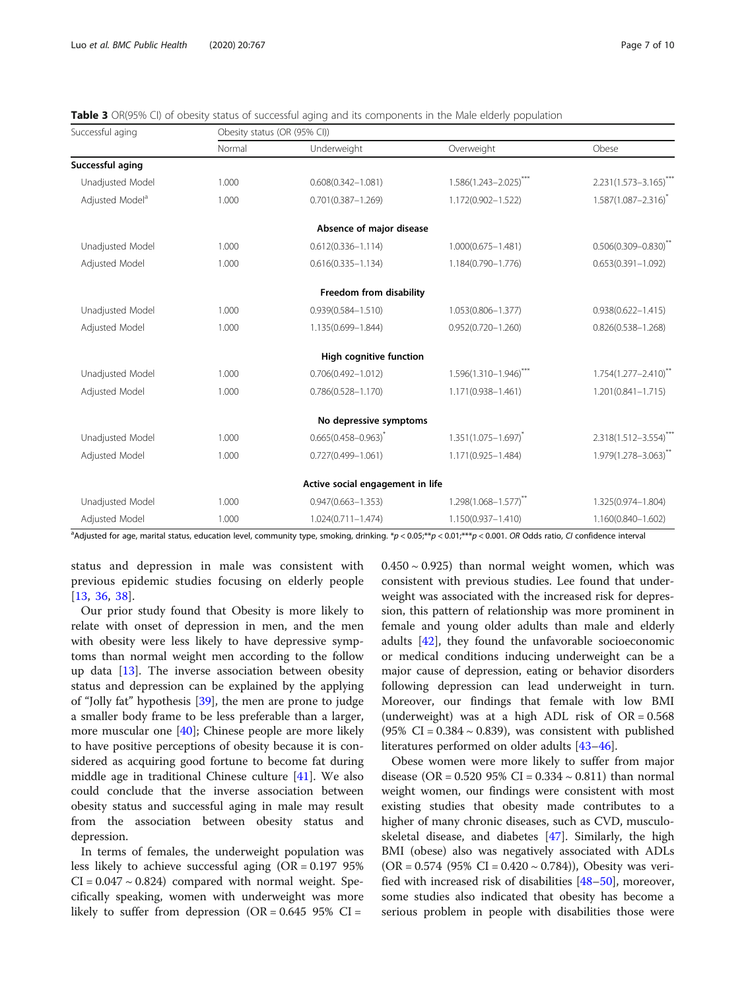| Successful aging            | Obesity status (OR (95% CI)) |                                  |                            |                             |  |  |  |
|-----------------------------|------------------------------|----------------------------------|----------------------------|-----------------------------|--|--|--|
|                             | Normal                       | Underweight                      | Overweight                 | Obese                       |  |  |  |
| Successful aging            |                              |                                  |                            |                             |  |  |  |
| Unadjusted Model            | 1.000                        | $0.608(0.342 - 1.081)$           | $1.586(1.243 - 2.025)$ *** | 2.231(1.573-3.165)***       |  |  |  |
| Adjusted Model <sup>a</sup> | 1.000                        | $0.701(0.387 - 1.269)$           | 1.172(0.902-1.522)         | $1.587(1.087 - 2.316)^{*}$  |  |  |  |
|                             |                              | Absence of major disease         |                            |                             |  |  |  |
| Unadjusted Model            | 1.000                        | $0.612(0.336 - 1.114)$           | 1.000(0.675-1.481)         | $0.506(0.309 - 0.830)^{**}$ |  |  |  |
| Adjusted Model              | 1.000                        | $0.616(0.335 - 1.134)$           | 1.184(0.790-1.776)         | $0.653(0.391 - 1.092)$      |  |  |  |
|                             |                              | Freedom from disability          |                            |                             |  |  |  |
| Unadjusted Model            | 1.000                        | $0.939(0.584 - 1.510)$           | 1.053(0.806-1.377)         | $0.938(0.622 - 1.415)$      |  |  |  |
| Adjusted Model              | 1.000                        | 1.135(0.699-1.844)               | $0.952(0.720 - 1.260)$     | $0.826(0.538 - 1.268)$      |  |  |  |
|                             |                              | <b>High cognitive function</b>   |                            |                             |  |  |  |
| Unadjusted Model            | 1.000                        | $0.706(0.492 - 1.012)$           | $1.596(1.310 - 1.946)$ *** | $1.754(1.277 - 2.410)^{**}$ |  |  |  |
| Adjusted Model              | 1.000                        | $0.786(0.528 - 1.170)$           | 1.171(0.938-1.461)         | $1.201(0.841 - 1.715)$      |  |  |  |
|                             |                              | No depressive symptoms           |                            |                             |  |  |  |
| Unadjusted Model            | 1.000                        | $0.665(0.458 - 0.963)^{*}$       | $1.351(1.075 - 1.697)^{*}$ | 2.318(1.512-3.554)***       |  |  |  |
| Adjusted Model              | 1.000                        | $0.727(0.499 - 1.061)$           | 1.171(0.925-1.484)         | 1.979(1.278-3.063)**        |  |  |  |
|                             |                              | Active social engagement in life |                            |                             |  |  |  |
| Unadjusted Model            | 1.000                        | $0.947(0.663 - 1.353)$           | $1.298(1.068 - 1.577)$ **  | 1.325(0.974-1.804)          |  |  |  |
| Adjusted Model              | 1.000                        | $1.024(0.711 - 1.474)$           | 1.150(0.937-1.410)         | 1.160(0.840-1.602)          |  |  |  |

<span id="page-6-0"></span>**Table 3** OR(95% CI) of obesity status of successful aging and its components in the Male elderly population

a Adjusted for age, marital status, education level, community type, smoking, drinking. \*p < 0.05;\*\*p < 0.01;\*\*\*p < 0.001. OR Odds ratio, CI confidence interval

status and depression in male was consistent with previous epidemic studies focusing on elderly people [[13,](#page-8-0) [36](#page-9-0), [38](#page-9-0)].

Our prior study found that Obesity is more likely to relate with onset of depression in men, and the men with obesity were less likely to have depressive symptoms than normal weight men according to the follow up data [[13\]](#page-8-0). The inverse association between obesity status and depression can be explained by the applying of "Jolly fat" hypothesis [[39\]](#page-9-0), the men are prone to judge a smaller body frame to be less preferable than a larger, more muscular one [[40\]](#page-9-0); Chinese people are more likely to have positive perceptions of obesity because it is considered as acquiring good fortune to become fat during middle age in traditional Chinese culture [\[41](#page-9-0)]. We also could conclude that the inverse association between obesity status and successful aging in male may result from the association between obesity status and depression.

In terms of females, the underweight population was less likely to achieve successful aging (OR = 0.197 95%  $CI = 0.047 \sim 0.824$ ) compared with normal weight. Specifically speaking, women with underweight was more likely to suffer from depression (OR =  $0.645$  95% CI =

 $0.450 \sim 0.925$ ) than normal weight women, which was consistent with previous studies. Lee found that underweight was associated with the increased risk for depression, this pattern of relationship was more prominent in female and young older adults than male and elderly adults [\[42\]](#page-9-0), they found the unfavorable socioeconomic or medical conditions inducing underweight can be a major cause of depression, eating or behavior disorders following depression can lead underweight in turn. Moreover, our findings that female with low BMI (underweight) was at a high ADL risk of  $OR = 0.568$ (95% CI =  $0.384 \sim 0.839$ ), was consistent with published literatures performed on older adults [\[43](#page-9-0)–[46\]](#page-9-0).

Obese women were more likely to suffer from major disease (OR =  $0.520$  95% CI =  $0.334 \sim 0.811$ ) than normal weight women, our findings were consistent with most existing studies that obesity made contributes to a higher of many chronic diseases, such as CVD, musculoskeletal disease, and diabetes [\[47](#page-9-0)]. Similarly, the high BMI (obese) also was negatively associated with ADLs  $(OR = 0.574 (95\% CI = 0.420 \sim 0.784))$ , Obesity was verified with increased risk of disabilities [\[48](#page-9-0)–[50\]](#page-9-0), moreover, some studies also indicated that obesity has become a serious problem in people with disabilities those were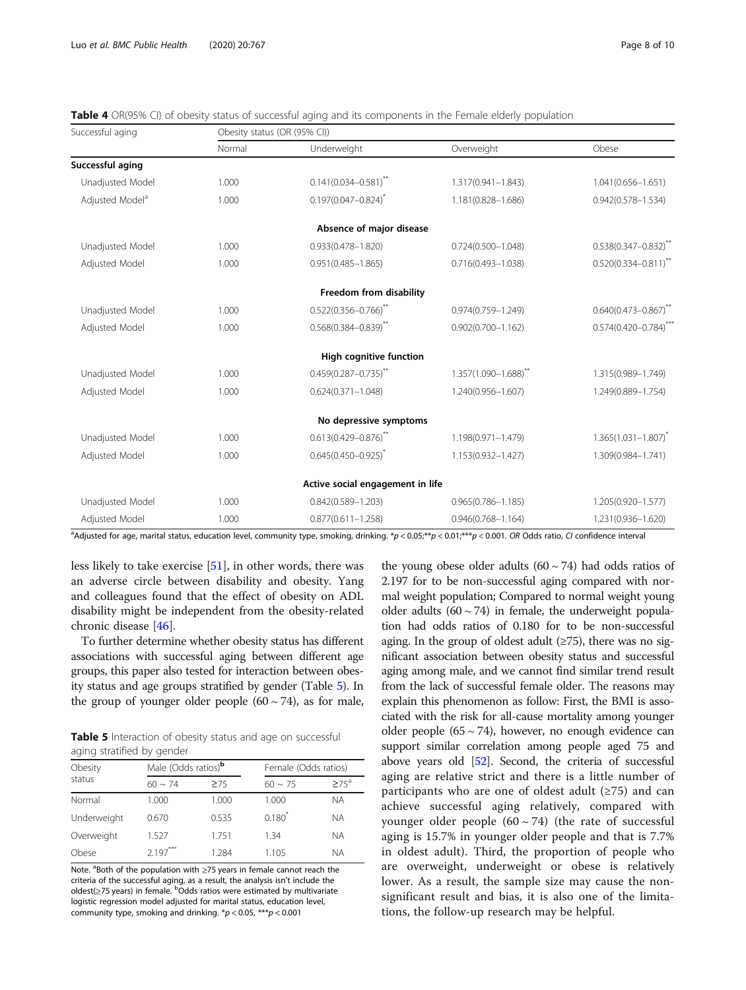| Successful aging            | Obesity status (OR (95% CI)) |                                  |                        |                             |  |  |  |
|-----------------------------|------------------------------|----------------------------------|------------------------|-----------------------------|--|--|--|
|                             | Normal                       | Underweight                      | Overweight             | Obese                       |  |  |  |
| Successful aging            |                              |                                  |                        |                             |  |  |  |
| Unadjusted Model            | 1.000                        | $0.141(0.034 - 0.581)^{**}$      | 1.317(0.941-1.843)     | $1.041(0.656 - 1.651)$      |  |  |  |
| Adjusted Model <sup>a</sup> | 1.000                        | $0.197(0.047 - 0.824)^{*}$       | 1.181(0.828-1.686)     | $0.942(0.578 - 1.534)$      |  |  |  |
|                             |                              | Absence of major disease         |                        |                             |  |  |  |
| Unadjusted Model            | 1.000                        | $0.933(0.478 - 1.820)$           | $0.724(0.500 - 1.048)$ | $0.538(0.347 - 0.832)$ **   |  |  |  |
| Adjusted Model              | 1.000                        | $0.951(0.485 - 1.865)$           | $0.716(0.493 - 1.038)$ | $0.520(0.334 - 0.811)^{**}$ |  |  |  |
|                             |                              | Freedom from disability          |                        |                             |  |  |  |
| Unadjusted Model            | 1.000                        | $0.522(0.356 - 0.766)^{**}$      | $0.974(0.759 - 1.249)$ | $0.640(0.473 - 0.867)$ **   |  |  |  |
| Adjusted Model              | 1.000                        | $0.568(0.384 - 0.839)$ **        | $0.902(0.700 - 1.162)$ | $0.574(0.420 - 0.784)$ ***  |  |  |  |
|                             |                              | <b>High cognitive function</b>   |                        |                             |  |  |  |
| Unadjusted Model            | 1.000                        | $0.459(0.287 - 0.735)^{**}$      | 1.357(1.090-1.688)**   | 1.315(0.989-1.749)          |  |  |  |
| Adjusted Model              | 1.000                        | $0.624(0.371 - 1.048)$           | 1.240(0.956-1.607)     | 1.249(0.889-1.754)          |  |  |  |
|                             |                              | No depressive symptoms           |                        |                             |  |  |  |
| Unadjusted Model            | 1.000                        | $0.613(0.429 - 0.876)^{**}$      | 1.198(0.971-1.479)     | $1.365(1.031 - 1.807)^{*}$  |  |  |  |
| Adjusted Model              | 1.000                        | $0.645(0.450 - 0.925)^{*}$       | 1.153(0.932-1.427)     | 1.309(0.984-1.741)          |  |  |  |
|                             |                              | Active social engagement in life |                        |                             |  |  |  |
| Unadjusted Model            | 1.000                        | $0.842(0.589 - 1.203)$           | $0.965(0.786 - 1.185)$ | 1.205(0.920-1.577)          |  |  |  |
| Adjusted Model              | 1.000                        | $0.877(0.611 - 1.258)$           | $0.946(0.768 - 1.164)$ | 1.231(0.936-1.620)          |  |  |  |

<span id="page-7-0"></span>Table 4 OR(95% CI) of obesity status of successful aging and its components in the Female elderly population

a Adjusted for age, marital status, education level, community type, smoking, drinking. \*p < 0.05;\*\*p < 0.01;\*\*\*p < 0.001. OR Odds ratio, CI confidence interval

less likely to take exercise [\[51\]](#page-9-0), in other words, there was an adverse circle between disability and obesity. Yang and colleagues found that the effect of obesity on ADL disability might be independent from the obesity-related chronic disease [\[46\]](#page-9-0).

To further determine whether obesity status has different associations with successful aging between different age groups, this paper also tested for interaction between obesity status and age groups stratified by gender (Table 5). In the group of younger older people  $(60 \sim 74)$ , as for male,

Table 5 Interaction of obesity status and age on successful aging stratified by gender

| Obesity<br>status | Male (Odds ratios) <sup>b</sup> |       |              | Female (Odds ratios) |  |  |  |
|-------------------|---------------------------------|-------|--------------|----------------------|--|--|--|
|                   | $60 \sim 74$                    | >75   | $60 \sim 75$ | $>75^{\circ}$        |  |  |  |
| Normal            | 1.000                           | 1.000 | 1.000        | NА                   |  |  |  |
| Underweight       | 0.670                           | 0.535 | $0.180^{7}$  | <b>NA</b>            |  |  |  |
| Overweight        | 1.527                           | 1.751 | 1.34         | <b>NA</b>            |  |  |  |
| Obese             | 2197                            | 1.284 | 1.105        | ΝA                   |  |  |  |

Note. <sup>a</sup>Both of the population with ≥75 years in female cannot reach the criteria of the successful aging, as a result, the analysis isn't include the oldest(≥75 years) in female. <sup>b</sup>Odds ratios were estimated by multivariate logistic regression model adjusted for marital status, education level, community type, smoking and drinking.  $*p < 0.05$ ,  $***p < 0.001$ 

the young obese older adults  $(60 \sim 74)$  had odds ratios of 2.197 for to be non-successful aging compared with normal weight population; Compared to normal weight young older adults  $(60 \sim 74)$  in female, the underweight population had odds ratios of 0.180 for to be non-successful aging. In the group of oldest adult  $(\geq 75)$ , there was no significant association between obesity status and successful aging among male, and we cannot find similar trend result from the lack of successful female older. The reasons may explain this phenomenon as follow: First, the BMI is associated with the risk for all-cause mortality among younger older people  $(65 \sim 74)$ , however, no enough evidence can support similar correlation among people aged 75 and above years old [\[52\]](#page-9-0). Second, the criteria of successful aging are relative strict and there is a little number of participants who are one of oldest adult  $(\geq 75)$  and can achieve successful aging relatively, compared with younger older people  $(60 \sim 74)$  (the rate of successful aging is 15.7% in younger older people and that is 7.7% in oldest adult). Third, the proportion of people who are overweight, underweight or obese is relatively lower. As a result, the sample size may cause the nonsignificant result and bias, it is also one of the limitations, the follow-up research may be helpful.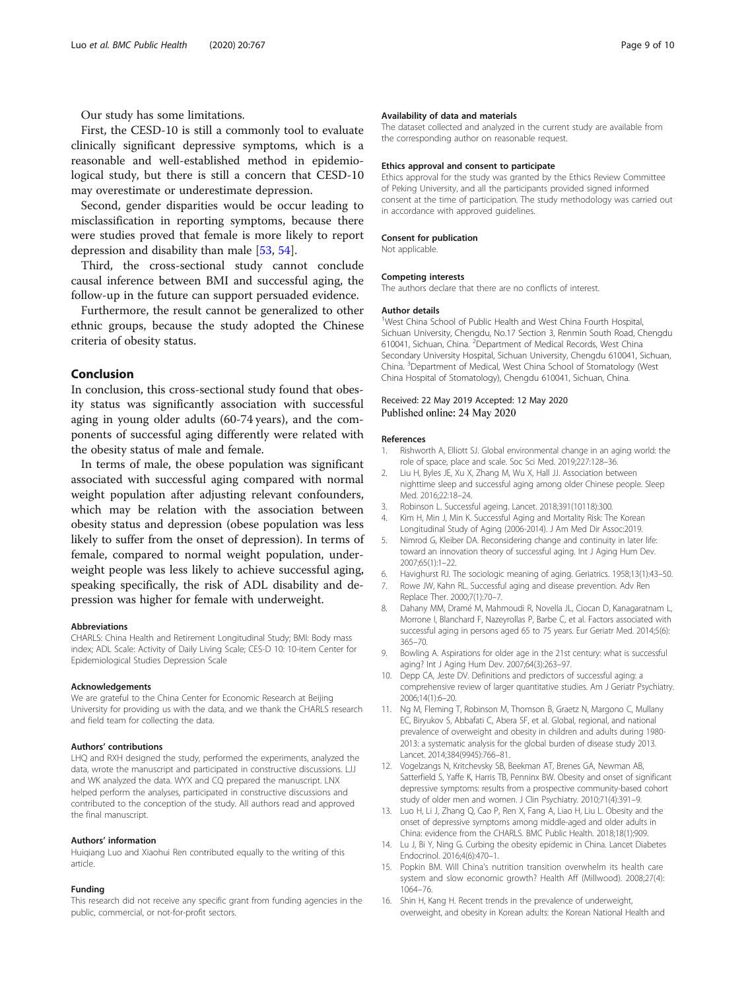<span id="page-8-0"></span>First, the CESD-10 is still a commonly tool to evaluate clinically significant depressive symptoms, which is a reasonable and well-established method in epidemiological study, but there is still a concern that CESD-10 may overestimate or underestimate depression.

Second, gender disparities would be occur leading to misclassification in reporting symptoms, because there were studies proved that female is more likely to report depression and disability than male [\[53](#page-9-0), [54](#page-9-0)].

Third, the cross-sectional study cannot conclude causal inference between BMI and successful aging, the follow-up in the future can support persuaded evidence.

Furthermore, the result cannot be generalized to other ethnic groups, because the study adopted the Chinese criteria of obesity status.

## Conclusion

In conclusion, this cross-sectional study found that obesity status was significantly association with successful aging in young older adults (60-74 years), and the components of successful aging differently were related with the obesity status of male and female.

In terms of male, the obese population was significant associated with successful aging compared with normal weight population after adjusting relevant confounders, which may be relation with the association between obesity status and depression (obese population was less likely to suffer from the onset of depression). In terms of female, compared to normal weight population, underweight people was less likely to achieve successful aging, speaking specifically, the risk of ADL disability and depression was higher for female with underweight.

#### Abbreviations

CHARLS: China Health and Retirement Longitudinal Study; BMI: Body mass index; ADL Scale: Activity of Daily Living Scale; CES-D 10: 10-item Center for Epidemiological Studies Depression Scale

#### Acknowledgements

We are grateful to the China Center for Economic Research at Beijing University for providing us with the data, and we thank the CHARLS research and field team for collecting the data.

#### Authors' contributions

LHQ and RXH designed the study, performed the experiments, analyzed the data, wrote the manuscript and participated in constructive discussions. LJJ and WK analyzed the data. WYX and CQ prepared the manuscript. LNX helped perform the analyses, participated in constructive discussions and contributed to the conception of the study. All authors read and approved the final manuscript.

#### Authors' information

Huiqiang Luo and Xiaohui Ren contributed equally to the writing of this article.

#### Funding

This research did not receive any specific grant from funding agencies in the public, commercial, or not-for-profit sectors.

#### Availability of data and materials

The dataset collected and analyzed in the current study are available from the corresponding author on reasonable request.

#### Ethics approval and consent to participate

Ethics approval for the study was granted by the Ethics Review Committee of Peking University, and all the participants provided signed informed consent at the time of participation. The study methodology was carried out in accordance with approved guidelines.

#### Consent for publication

Not applicable.

#### Competing interests

The authors declare that there are no conflicts of interest.

#### Author details

<sup>1</sup>West China School of Public Health and West China Fourth Hospital Sichuan University, Chengdu, No.17 Section 3, Renmin South Road, Chengdu 610041, Sichuan, China. <sup>2</sup> Department of Medical Records, West China Secondary University Hospital, Sichuan University, Chengdu 610041, Sichuan, China. <sup>3</sup> Department of Medical, West China School of Stomatology (West China Hospital of Stomatology), Chengdu 610041, Sichuan, China.

#### Received: 22 May 2019 Accepted: 12 May 2020 Published online: 24 May 2020

#### References

- 1. Rishworth A, Elliott SJ. Global environmental change in an aging world: the role of space, place and scale. Soc Sci Med. 2019;227:128–36.
- 2. Liu H, Byles JE, Xu X, Zhang M, Wu X, Hall JJ. Association between nighttime sleep and successful aging among older Chinese people. Sleep Med. 2016;22:18–24.
- 3. Robinson L. Successful ageing. Lancet. 2018;391(10118):300.
- Kim H, Min J, Min K. Successful Aging and Mortality Risk: The Korean Longitudinal Study of Aging (2006-2014). J Am Med Dir Assoc:2019.
- 5. Nimrod G, Kleiber DA. Reconsidering change and continuity in later life: toward an innovation theory of successful aging. Int J Aging Hum Dev. 2007;65(1):1–22.
- Havighurst RJ. The sociologic meaning of aging. Geriatrics. 1958;13(1):43-50.
- 7. Rowe JW, Kahn RL. Successful aging and disease prevention. Adv Ren Replace Ther. 2000;7(1):70–7.
- 8. Dahany MM, Dramé M, Mahmoudi R, Novella JL, Ciocan D, Kanagaratnam L, Morrone I, Blanchard F, Nazeyrollas P, Barbe C, et al. Factors associated with successful aging in persons aged 65 to 75 years. Eur Geriatr Med. 2014;5(6): 365–70.
- 9. Bowling A. Aspirations for older age in the 21st century: what is successful aging? Int J Aging Hum Dev. 2007;64(3):263–97.
- 10. Depp CA, Jeste DV. Definitions and predictors of successful aging: a comprehensive review of larger quantitative studies. Am J Geriatr Psychiatry. 2006;14(1):6–20.
- 11. Ng M, Fleming T, Robinson M, Thomson B, Graetz N, Margono C, Mullany EC, Biryukov S, Abbafati C, Abera SF, et al. Global, regional, and national prevalence of overweight and obesity in children and adults during 1980- 2013: a systematic analysis for the global burden of disease study 2013. Lancet. 2014;384(9945):766–81.
- 12. Vogelzangs N, Kritchevsky SB, Beekman AT, Brenes GA, Newman AB, Satterfield S, Yaffe K, Harris TB, Penninx BW. Obesity and onset of significant depressive symptoms: results from a prospective community-based cohort study of older men and women. J Clin Psychiatry. 2010;71(4):391–9.
- 13. Luo H, Li J, Zhang Q, Cao P, Ren X, Fang A, Liao H, Liu L. Obesity and the onset of depressive symptoms among middle-aged and older adults in China: evidence from the CHARLS. BMC Public Health. 2018;18(1):909.
- 14. Lu J, Bi Y, Ning G. Curbing the obesity epidemic in China. Lancet Diabetes Endocrinol. 2016;4(6):470–1.
- 15. Popkin BM. Will China's nutrition transition overwhelm its health care system and slow economic growth? Health Aff (Millwood). 2008;27(4): 1064–76.
- 16. Shin H, Kang H. Recent trends in the prevalence of underweight, overweight, and obesity in Korean adults: the Korean National Health and